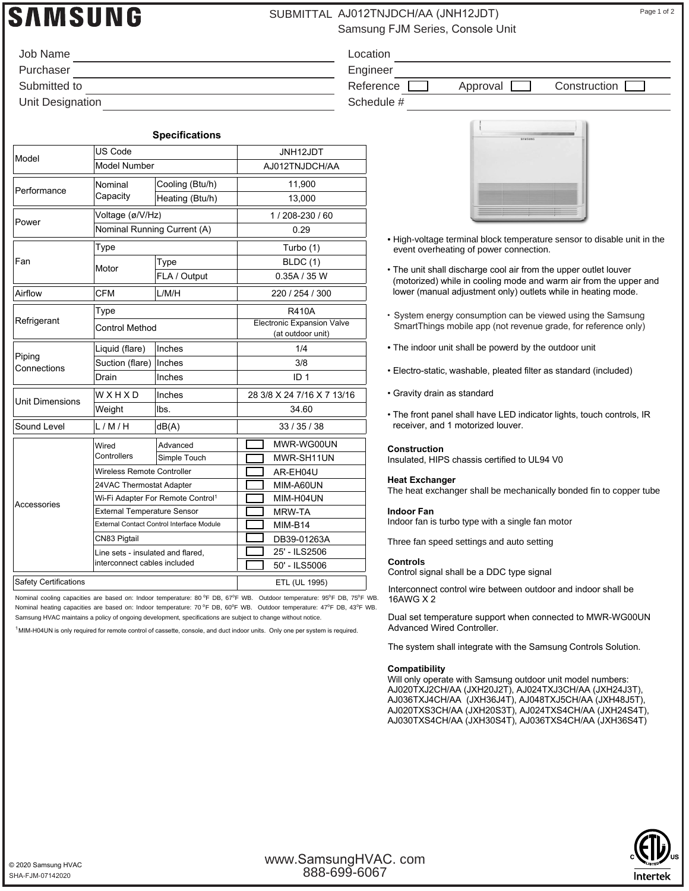# **SAMSUNG**

## SUBMITTAL AJ012TNJDCH/AA (JNH12JDT) Page 1 of 2

Samsung FJM Series, Console Unit

| Job Name         | Location   |
|------------------|------------|
| Purchaser        | Engineer   |
| Submitted to     | Reference  |
| Unit Designation | Schedule # |

Reference **Approval Construction** 

|                        |                                                  | <b>Specifications</b> |             |                                                        |  |
|------------------------|--------------------------------------------------|-----------------------|-------------|--------------------------------------------------------|--|
| Model                  | <b>US Code</b>                                   |                       | JNH12JDT    |                                                        |  |
|                        | <b>Model Number</b>                              |                       |             | AJ012TNJDCH/AA                                         |  |
| Performance            | Nominal<br>Capacity                              | Cooling (Btu/h)       |             | 11,900                                                 |  |
|                        |                                                  | Heating (Btu/h)       |             | 13,000                                                 |  |
| Power                  | Voltage (ø/V/Hz)                                 |                       |             | 1/208-230/60                                           |  |
|                        | Nominal Running Current (A)                      |                       |             | 0.29                                                   |  |
| Fan                    | Type                                             |                       | Turbo (1)   |                                                        |  |
|                        | Motor                                            | Type                  |             | <b>BLDC</b> (1)                                        |  |
|                        |                                                  | FLA / Output          | 0.35A / 35W |                                                        |  |
| Airflow                | <b>CFM</b>                                       | L/M/H                 |             | 220 / 254 / 300                                        |  |
| Refrigerant            | Type                                             |                       |             | <b>R410A</b>                                           |  |
|                        | <b>Control Method</b>                            |                       |             | <b>Electronic Expansion Valve</b><br>(at outdoor unit) |  |
| Piping<br>Connections  | Liquid (flare)                                   | Inches                |             | 1/4                                                    |  |
|                        | Suction (flare)                                  | Inches                |             | 3/8                                                    |  |
|                        | Drain                                            | Inches                |             | ID <sub>1</sub>                                        |  |
| <b>Unit Dimensions</b> | WXHXD                                            | Inches                |             | 28 3/8 X 24 7/16 X 7 13/16                             |  |
|                        | Weight                                           | Ibs.                  |             | 34.60                                                  |  |
| Sound Level            | L/M/H                                            | dB(A)                 |             | 33/35/38                                               |  |
| Accessories            | Wired<br>Controllers                             | Advanced              |             | MWR-WG00UN                                             |  |
|                        |                                                  | Simple Touch          |             | MWR-SH11UN                                             |  |
|                        | Wireless Remote Controller                       |                       |             | AR-EH04U                                               |  |
|                        | 24VAC Thermostat Adapter                         |                       |             | MIM-A60UN                                              |  |
|                        | Wi-Fi Adapter For Remote Control <sup>1</sup>    |                       |             | MIM-H04UN                                              |  |
|                        | <b>External Temperature Sensor</b>               |                       |             | MRW-TA                                                 |  |
|                        | <b>External Contact Control Interface Module</b> |                       |             | MIM-B14                                                |  |
|                        | CN83 Pigtail                                     |                       |             | DB39-01263A                                            |  |
|                        | Line sets - insulated and flared.                |                       |             | 25' - ILS2506                                          |  |

Nominal cooling capacities are based on: Indoor temperature: 80 °F DB, 67°F WB. Outdoor temperature: 95°F DB, 75°F WB. Safety Certifications **ETL** (UL 1995)

Nominal heating capacities are based on: Indoor temperature: 70 °F DB, 60°F WB. Outdoor temperature: 47°F DB, 43°F WB. Samsung HVAC maintains a policy of ongoing development, specifications are subject to change without notice.

interconnect cables included 50' - ILS5006

<sup>1</sup> MIM-H04UN is only required for remote control of cassette, console, and duct indoor units. Only one per system is required.

- High-voltage terminal block temperature sensor to disable unit in the event overheating of power connection.
- The unit shall discharge cool air from the upper outlet louver (motorized) while in cooling mode and warm air from the upper and lower (manual adjustment only) outlets while in heating mode.
- System energy consumption can be viewed using the Samsung SmartThings mobile app (not revenue grade, for reference only)
- The indoor unit shall be powerd by the outdoor unit
- Electro-static, washable, pleated filter as standard (included)
- Gravity drain as standard
- The front panel shall have LED indicator lights, touch controls, IR receiver, and 1 motorized louver.

#### **Construction**

Insulated, HIPS chassis certified to UL94 V0

#### **Heat Exchanger** The heat exchanger shall be mechanically bonded fin to copper tube

**Indoor Fan**

Indoor fan is turbo type with a single fan motor

Three fan speed settings and auto setting

### **Controls**

Control signal shall be a DDC type signal

Interconnect control wire between outdoor and indoor shall be 16AWG X 2

Dual set temperature support when connected to MWR-WG00UN

The system shall integrate with the Samsung Controls Solution.

#### **Compatibility**

Will only operate with Samsung outdoor unit model numbers: AJ020TXJ2CH/AA (JXH20J2T), AJ024TXJ3CH/AA (JXH24J3T), AJ036TXJ4CH/AA (JXH36J4T), AJ048TXJ5CH/AA (JXH48J5T), AJ020TXS3CH/AA (JXH20S3T), AJ024TXS4CH/AA (JXH24S4T), AJ030TXS4CH/AA (JXH30S4T), AJ036TXS4CH/AA (JXH36S4T)